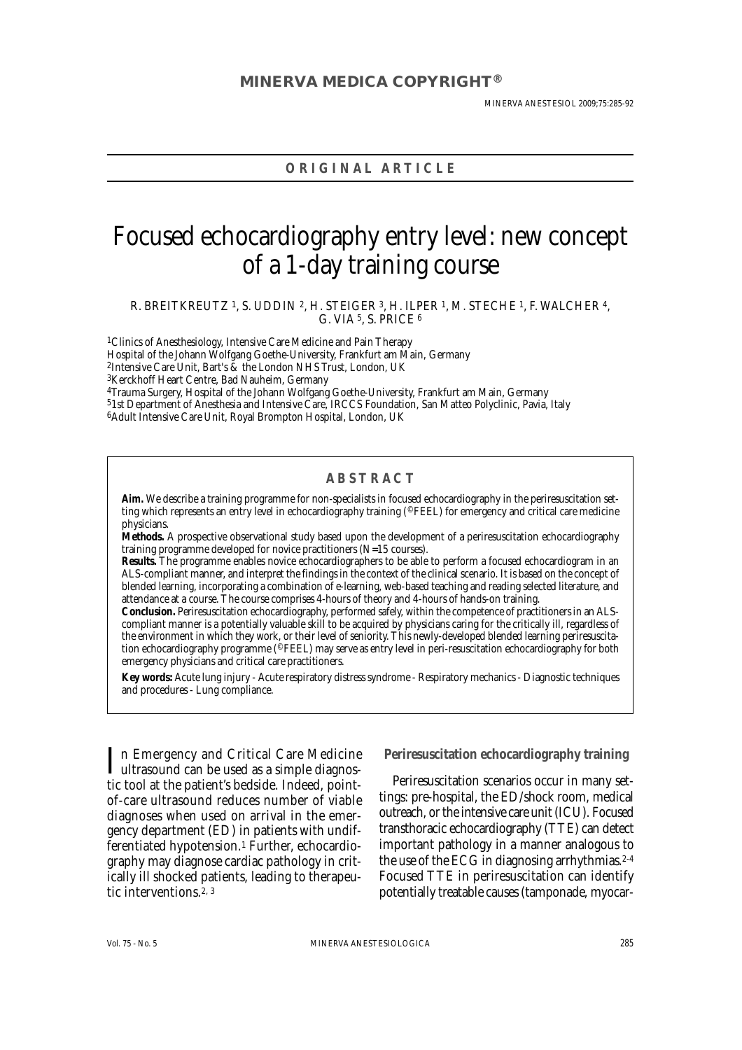# Focused echocardiography entry level: new concept of a 1-day training course

R. BREITKREUTZ <sup>1</sup>, S. UDDIN <sup>2</sup>, H. STEIGER <sup>3</sup>, H. ILPER <sup>1</sup>, M. STECHE <sup>1</sup>, F. WALCHER <sup>4</sup>, G. VIA 5, S. PRICE 6

1Clinics of Anesthesiology, Intensive Care Medicine and Pain Therapy

Hospital of the Johann Wolfgang Goethe-University, Frankfurt am Main, Germany

2Intensive Care Unit, Bart's & the London NHS Trust, London, UK

3Kerckhoff Heart Centre, Bad Nauheim, Germany

4Trauma Surgery, Hospital of the Johann Wolfgang Goethe-University, Frankfurt am Main, Germany

51st Department of Anesthesia and Intensive Care, IRCCS Foundation, San Matteo Polyclinic, Pavia, Italy

6Adult Intensive Care Unit, Royal Brompton Hospital, London, UK

# **ABSTRACT**

**Aim.** We describe a training programme for non-specialists in focused echocardiography in the periresuscitation setting which represents an entry level in echocardiography training (©FEEL) for emergency and critical care medicine physicians.

**Methods.** A prospective observational study based upon the development of a periresuscitation echocardiography training programme developed for novice practitioners (N=15 courses).

**Results.** The programme enables novice echocardiographers to be able to perform a focused echocardiogram in an ALS-compliant manner, and interpret the findings in the context of the clinical scenario. It is based on the concept of blended learning, incorporating a combination of e-learning, web-based teaching and reading selected literature, and attendance at a course. The course comprises 4-hours of theory and 4-hours of hands-on training.

**Conclusion.** Periresuscitation echocardiography, performed safely, within the competence of practitioners in an ALScompliant manner is a potentially valuable skill to be acquired by physicians caring for the critically ill, regardless of the environment in which they work, or their level of seniority. This newly-developed blended learning periresuscitation echocardiography programme (©FEEL) may serve as entry level in peri-resuscitation echocardiography for both emergency physicians and critical care practitioners.

**Key words:** Acute lung injury - Acute respiratory distress syndrome - Respiratory mechanics - Diagnostic techniques and procedures - Lung compliance.

In Emergency and Critical Care Medicine<br>ultrasound can be used as a simple diagnos-<br>is tool at the nation's hadride Judged animate n Emergency and Critical Care Medicine tic tool at the patient's bedside. Indeed, pointof-care ultrasound reduces number of viable diagnoses when used on arrival in the emergency department (ED) in patients with undifferentiated hypotension.1 Further, echocardiography may diagnose cardiac pathology in critically ill shocked patients, leading to therapeutic interventions.2, 3

**Periresuscitation echocardiography training**

Periresuscitation scenarios occur in many settings: pre-hospital, the ED/shock room, medical outreach, or the intensive care unit (ICU). Focused transthoracic echocardiography (TTE) can detect important pathology in a manner analogous to the use of the ECG in diagnosing arrhythmias.2-4 Focused TTE in periresuscitation can identify potentially treatable causes (tamponade, myocar-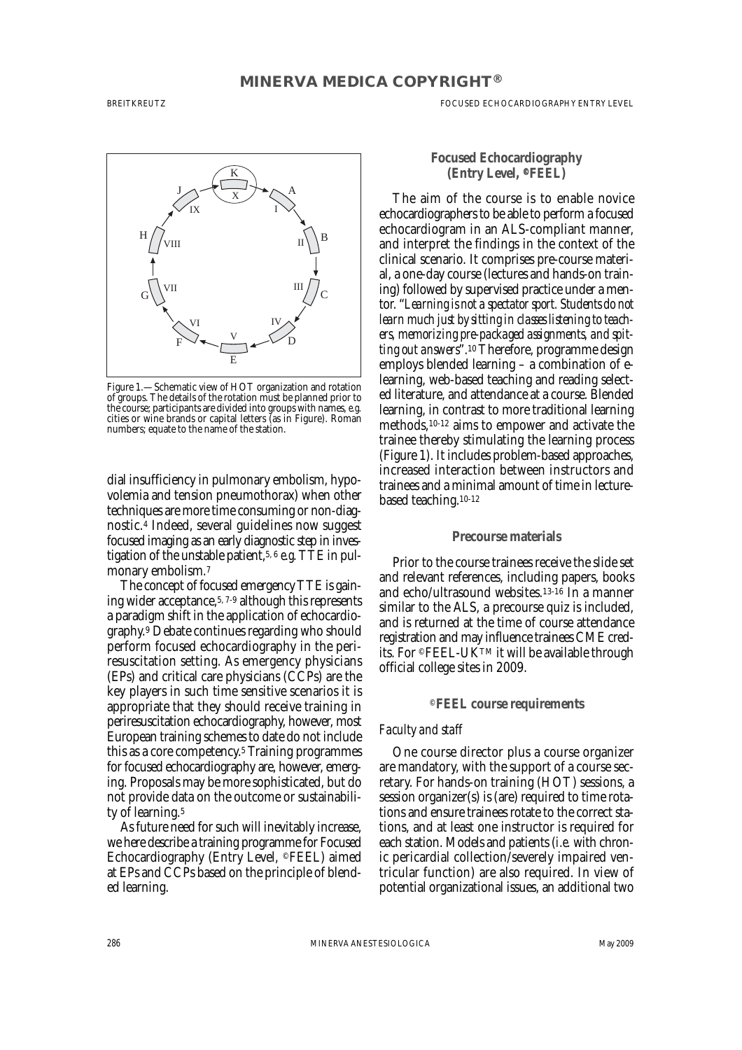

Figure 1.—Schematic view of HOT organization and rotation of groups. The details of the rotation must be planned prior to the course; participants are divided into groups with names, *e.g.* cities or wine brands or capital letters (as in Figure). Roman numbers; equate to the name of the station.

dial insufficiency in pulmonary embolism, hypovolemia and tension pneumothorax) when other techniques are more time consuming or non-diagnostic.4 Indeed, several guidelines now suggest focused imaging as an early diagnostic step in investigation of the unstable patient,5, 6 *e.g.*TTE in pulmonary embolism.7

The concept of focused emergency TTE is gaining wider acceptance,5, 7-9 although this represents a paradigm shift in the application of echocardiography.9 Debate continues regarding who should perform focused echocardiography in the periresuscitation setting. As emergency physicians (EPs) and critical care physicians (CCPs) are the key players in such time sensitive scenarios it is appropriate that they should receive training in periresuscitation echocardiography, however, most European training schemes to date do not include this as a core competency.5 Training programmes for focused echocardiography are, however, emerging. Proposals may be more sophisticated, but do not provide data on the outcome or sustainability of learning.<sup>5</sup>

As future need for such will inevitably increase, we here describe a training programme for Focused Echocardiography (Entry Level, ©FEEL) aimed at EPs and CCPs based on the principle of blended learning.

### **Focused Echocardiography (Entry Level, ©FEEL)**

The aim of the course is to enable novice echocardiographers to be able to perform a focused echocardiogram in an ALS-compliant manner, and interpret the findings in the context of the clinical scenario. It comprises pre-course material, a one-day course (lectures and hands-on training) followed by supervised practice under a mentor. "*Learning is not a spectator sport. Students do not learn much just by sitting in classes listening to teachers, memorizing pre-packaged assignments, and spitting out answers*".10Therefore, programme design employs blended learning – a combination of elearning, web-based teaching and reading selected literature, and attendance at a course. Blended learning, in contrast to more traditional learning methods,10-12 aims to empower and activate the trainee thereby stimulating the learning process (Figure 1). It includes problem-based approaches, increased interaction between instructors and trainees and a minimal amount of time in lecturebased teaching.10-12

### **Precourse materials**

Prior to the course trainees receive the slide set and relevant references, including papers, books and echo/ultrasound websites.13-16 In a manner similar to the ALS, a precourse quiz is included, and is returned at the time of course attendance registration and may influence trainees CME credits. For ©FEEL-UKTM it will be available through official college sites in 2009.

#### **©FEEL course requirements**

### *Faculty and staff*

One course director plus a course organizer are mandatory, with the support of a course secretary. For hands-on training (HOT) sessions, a session organizer(s) is (are) required to time rotations and ensure trainees rotate to the correct stations, and at least one instructor is required for each station. Models and patients (*i.e.* with chronic pericardial collection/severely impaired ventricular function) are also required. In view of potential organizational issues, an additional two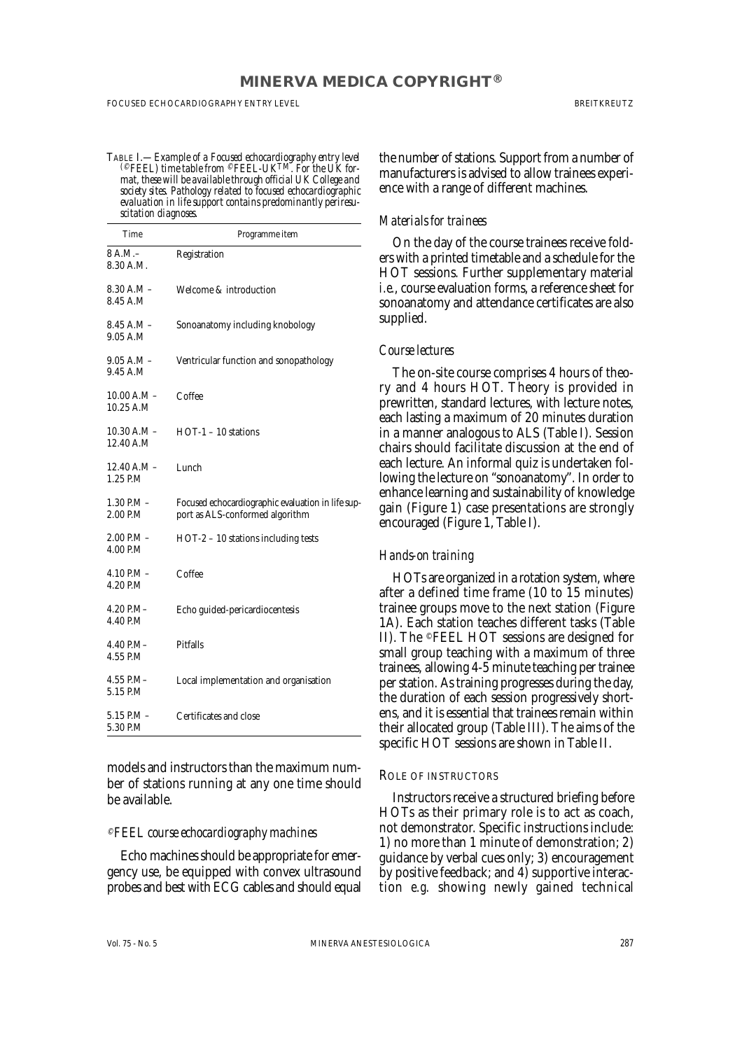TABLE <sup>I</sup>*.—Example of a Focused echocardiography entry level (©FEEL) time table from ©FEEL-UKTM. For the UK format, these will be available through official UK College and society sites. Pathology related to focused echocardiographic evaluation in life support contains predominantly periresuscitation diagnoses.*

| Time                       | Programme item                                                                       |
|----------------------------|--------------------------------------------------------------------------------------|
| 8 A.M.-<br>8.30 A.M.       | Registration                                                                         |
| 8.30 A.M –<br>8.45 A.M     | Welcome & introduction                                                               |
| 8.45 A.M –<br>9.05 A.M     | Sonoanatomy including knobology                                                      |
| 9.05 A.M –<br>9.45 A.M     | Ventricular function and sonopathology                                               |
| 10.00 A.M –<br>10.25 A.M   | Coffee                                                                               |
| 10.30 A.M –<br>12.40 A.M   | $HOT-1 - 10$ stations                                                                |
| 12.40 A.M –<br>1.25 P.M    | Lunch                                                                                |
| $1.30$ P.M $-$<br>2.00 P.M | Focused echocardiographic evaluation in life sup-<br>port as ALS-conformed algorithm |
| $2.00$ P.M $-$<br>4.00 P.M | HOT-2 - 10 stations including tests                                                  |
| 4.10 P.M –<br>4.20 P.M     | Coffee                                                                               |
| 4.20 P.M-<br>4.40 P.M      | Echo guided-pericardiocentesis                                                       |
| $4.40$ P.M $-$<br>4.55 P.M | Pitfalls                                                                             |
| 4.55 P.M-<br>5.15 P.M      | Local implementation and organisation                                                |
| 5.15 P.M –<br>5.30 P.M     | Certificates and close                                                               |

models and instructors than the maximum number of stations running at any one time should be available.

### *©FEEL course echocardiography machines*

Echo machines should be appropriate for emergency use, be equipped with convex ultrasound probes and best with ECG cables and should equal

the number of stations. Support from a number of manufacturers is advised to allow trainees experience with a range of different machines.

### *Materials for trainees*

On the day of the course trainees receive folders with a printed timetable and a schedule for the HOT sessions. Further supplementary material *i.e.*, course evaluation forms, a reference sheet for sonoanatomy and attendance certificates are also supplied.

### *Course lectures*

The on-site course comprises 4 hours of theory and 4 hours HOT. Theory is provided in prewritten, standard lectures, with lecture notes, each lasting a maximum of 20 minutes duration in a manner analogous to ALS (Table I). Session chairs should facilitate discussion at the end of each lecture. An informal quiz is undertaken following the lecture on "sonoanatomy". In order to enhance learning and sustainability of knowledge gain (Figure 1) case presentations are strongly encouraged (Figure 1, Table I).

## *Hands-on training*

HOTs are organized in a rotation system, where after a defined time frame (10 to 15 minutes) trainee groups move to the next station (Figure 1A). Each station teaches different tasks (Table II). The ©FEEL HOT sessions are designed for small group teaching with a maximum of three trainees, allowing 4-5 minute teaching per trainee per station. As training progresses during the day, the duration of each session progressively shortens, and it is essential that trainees remain within their allocated group (Table III). The aims of the specific HOT sessions are shown in Table II.

#### ROLE OF INSTRUCTORS

Instructors receive a structured briefing before HOTs as their primary role is to act as coach, not demonstrator. Specific instructions include: 1) no more than 1 minute of demonstration; 2) guidance by verbal cues only; 3) encouragement by positive feedback; and 4) supportive interaction *e.g.* showing newly gained technical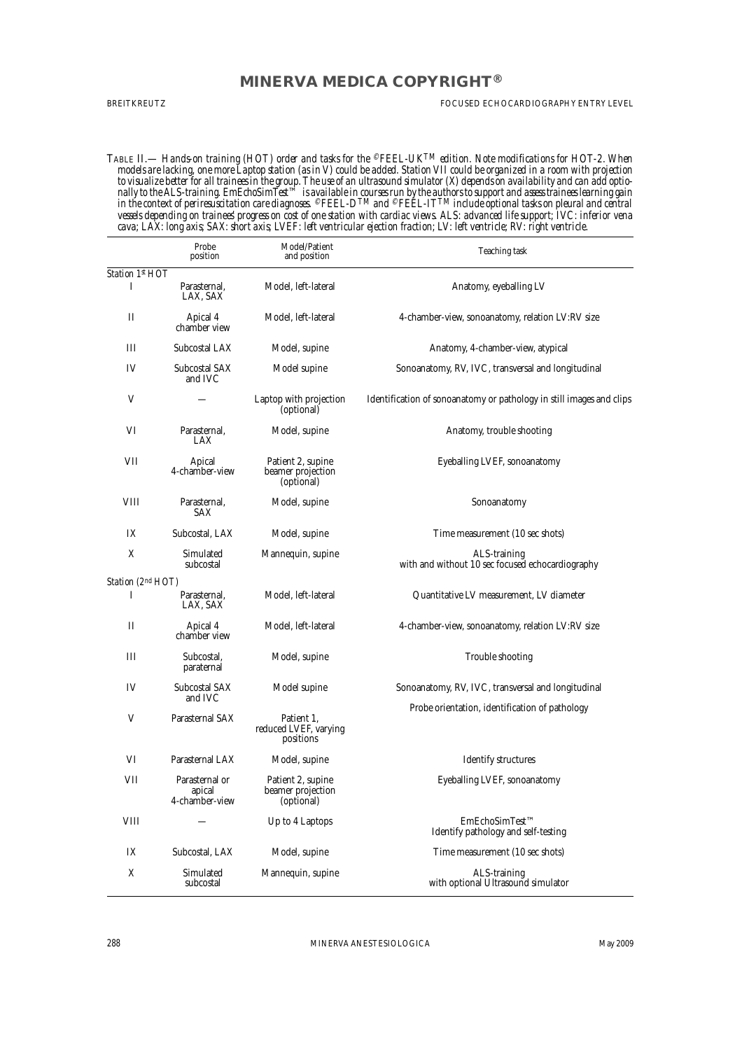### BREITKREUTZ FOODSED ECHOCARDIOGRAPHY ENTRY LEVEL

TABLE II.— *Hands-on training (HOT) order and tasks for the ©FEEL-UKTM edition. Note modifications for HOT-2. When models are lacking, one more Laptop station (as in V) could be added. Station VII could be organized in a room with projection to visualize better for all trainees in the group. The use of an ultrasound simulator (X) depends on availability and can add optionally to the ALS-training. EmEchoSimTest™ is available in courses run by the authors to support and assess trainees learning gain in the context of periresuscitation care diagnoses. ©FEEL-DTM and ©FEEL-ITTM include optional tasks on pleural and central* vessels depending on trainees' progress on cost of one station with cardiac views. ALS: advanced life support; IVC: inferior vena<br>cava; LAX: long axis; SAX: short axis; LVEF: left ventricular ejection fraction; LV: left ve

|                   | Probe<br>position                          | Model/Patient<br>and position                        | Teaching task                                                        |
|-------------------|--------------------------------------------|------------------------------------------------------|----------------------------------------------------------------------|
| Station 1st HOT   |                                            |                                                      |                                                                      |
| I                 | Parasternal.<br>LAX, SAX                   | Model, left-lateral                                  | Anatomy, eyeballing LV                                               |
| П                 | Apical 4<br>chamber view                   | Model, left-lateral                                  | 4-chamber-view, sonoanatomy, relation LV:RV size                     |
| Ш                 | Subcostal LAX                              | Model, supine                                        | Anatomy, 4-chamber-view, atypical                                    |
| IV                | Subcostal SAX<br>and IVC                   | Model supine                                         | Sonoanatomy, RV, IVC, transversal and longitudinal                   |
| V                 |                                            | Laptop with projection<br>(optional)                 | Identification of sonoanatomy or pathology in still images and clips |
| VI                | Parasternal,<br>LAX                        | Model, supine                                        | Anatomy, trouble shooting                                            |
| VII               | Apical<br>4-chamber-view                   | Patient 2, supine<br>beamer projection<br>(optional) | Eyeballing LVEF, sonoanatomy                                         |
| VIII              | Parasternal,<br><b>SAX</b>                 | Model, supine                                        | Sonoanatomy                                                          |
| IX                | Subcostal, LAX                             | Model, supine                                        | Time measurement (10 sec shots)                                      |
| X                 | Simulated<br>subcostal                     | Mannequin, supine                                    | ALS-training<br>with and without 10 sec focused echocardiography     |
| Station (2nd HOT) |                                            |                                                      |                                                                      |
| I                 | Parasternal,<br>LAX, SAX                   | Model, left-lateral                                  | Quantitative LV measurement, LV diameter                             |
| П                 | Apical 4<br>chamber view                   | Model, left-lateral                                  | 4-chamber-view, sonoanatomy, relation LV:RV size                     |
| Ш                 | Subcostal.<br>paraternal                   | Model, supine                                        | Trouble shooting                                                     |
| IV                | Subcostal SAX<br>and IVC                   | Model supine                                         | Sonoanatomy, RV, IVC, transversal and longitudinal                   |
| V                 | Parasternal SAX                            | Patient 1,<br>reduced LVEF, varying<br>positions     | Probe orientation, identification of pathology                       |
| VI                | Parasternal LAX                            | Model, supine                                        | <b>Identify structures</b>                                           |
| VII               | Parasternal or<br>apical<br>4-chamber-view | Patient 2, supine<br>beamer projection<br>(optional) | Eyeballing LVEF, sonoanatomy                                         |
| <b>VIII</b>       |                                            | Up to 4 Laptops                                      | EmEchoSimTest™<br>Identify pathology and self-testing                |
| IX                | Subcostal, LAX                             | Model, supine                                        | Time measurement (10 sec shots)                                      |
| X                 | Simulated<br>subcostal                     | Mannequin, supine                                    | ALS-training<br>with optional Ultrasound simulator                   |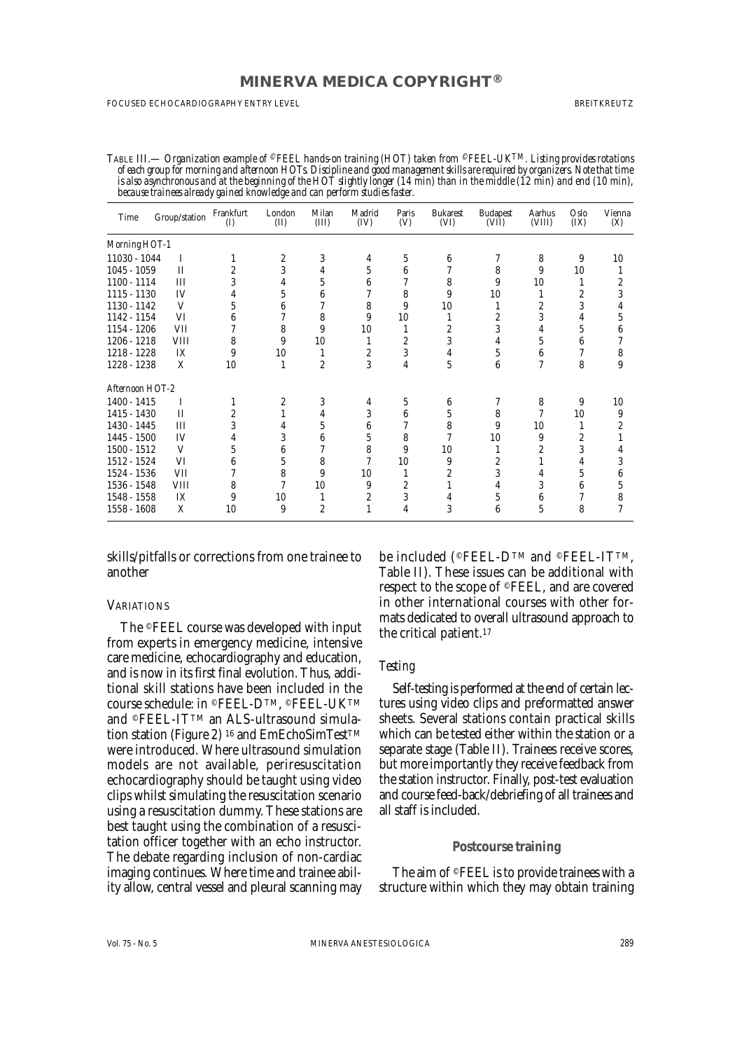| TABLE III.— Organization example of ©FEEL hands-on training (HOT) taken from ©FEEL-UKTM. Listing provides rotations            |
|--------------------------------------------------------------------------------------------------------------------------------|
| of each group for morning and afternoon HOTs. Discipline and good management skills are required by organizers. Note that time |
| is also asynchronous and at the beginning of the HOT slightly longer (14 min) than in the middle (12 min) and end (10 min).    |
| because trainees already gained knowledge and can perform studies faster.                                                      |

| Time            | Group/station | Frankfurt<br>(I) | London<br>(II)   | Milan<br>(III) | Madrid<br>(IV) | Paris<br>(V)   | <b>Bukarest</b><br>(VI) | <b>Budapest</b><br>(VII) | Aarhus<br>(VIII) | Oslo<br>(IX)   | Vienna<br>(X)  |
|-----------------|---------------|------------------|------------------|----------------|----------------|----------------|-------------------------|--------------------------|------------------|----------------|----------------|
| Morning HOT-1   |               |                  |                  |                |                |                |                         |                          |                  |                |                |
| 11030 - 1044    | I             | 1                | $\boldsymbol{2}$ | 3              | 4              | 5              | 6                       | 7                        | 8                | 9              | 10             |
| $1045 - 1059$   | $\mathbf{H}$  | $\overline{2}$   | 3                | 4              | 5              | 6              | 7                       | 8                        | 9                | 10             | 1              |
| 1100 - 1114     | III           | 3                | 4                | 5              | 6              | 7              | 8                       | 9                        | 10               | 1              | $\overline{c}$ |
| 1115 - 1130     | IV            | 4                | 5                | 6              | 7              | 8              | 9                       | 10                       | 1                | 2              | 3              |
| 1130 - 1142     | V             | 5                | 6                | 7              | 8              | 9              | 10                      | 1                        | $\overline{c}$   | 3              | 4              |
| 1142 - 1154     | VI            | 6                | 7                | 8              | 9              | 10             | 1                       | $\overline{2}$           | 3                | 4              | 5              |
| 1154 - 1206     | VII           | 7                | 8                | 9              | 10             | 1              | 2                       | 3                        | 4                | 5              | 6              |
| 1206 - 1218     | VIII          | 8                | 9                | 10             | 1              | $\overline{2}$ | 3                       | 4                        | 5                | 6              | 7              |
| 1218 - 1228     | IX            | 9                | 10               | 1              | $\overline{c}$ | 3              | 4                       | 5                        | 6                | 7              | 8              |
| 1228 - 1238     | X             | 10               | 1                | $\overline{c}$ | 3              | 4              | 5                       | 6                        | 7                | 8              | 9              |
| Afternoon HOT-2 |               |                  |                  |                |                |                |                         |                          |                  |                |                |
| 1400 - 1415     | I             | 1                | $\boldsymbol{2}$ | 3              | 4              | 5              | 6                       | 7                        | 8                | 9              | 10             |
| 1415 - 1430     | $\mathbf{I}$  | $\overline{c}$   | 1                | 4              | 3              | 6              | 5                       | 8                        | 7                | 10             | 9              |
| 1430 - 1445     | III           | 3                | 4                | 5              | 6              | 7              | 8                       | 9                        | 10               | 1              | $\overline{c}$ |
| 1445 - 1500     | IV            | 4                | 3                | 6              | 5              | 8              | 7                       | 10                       | 9                | $\overline{c}$ | 1              |
| $1500 - 1512$   | V             | 5                | 6                | 7              | 8              | 9              | 10                      | 1                        | 2                | 3              | 4              |
| 1512 - 1524     | VI            | 6                | 5                | 8              | 7              | 10             | 9                       | $\overline{c}$           | 1                | 4              | 3              |
| 1524 - 1536     | VII           | 7                | 8                | 9              | 10             | 1              | $\overline{2}$          | 3                        | 4                | 5              | 6              |
| 1536 - 1548     | <b>VIII</b>   | 8                | 7                | 10             | 9              | $\overline{2}$ |                         | 4                        | 3                | 6              | 5              |
| 1548 - 1558     | IX            | 9                | 10               | 1              | $\overline{c}$ | 3              | 4                       | 5                        | 6                | 7              | 8              |
| 1558 - 1608     | X             | 10               | 9                | $\overline{c}$ | 1              | 4              | 3                       | 6                        | 5                | 8              | 7              |

skills/pitfalls or corrections from one trainee to another

### **VARIATIONS**

The ©FEEL course was developed with input from experts in emergency medicine, intensive care medicine, echocardiography and education, and is now in its first final evolution. Thus, additional skill stations have been included in the course schedule: in ©FEEL-DTM, ©FEEL-UKTM and ©FEEL-ITTM an ALS-ultrasound simulation station (Figure 2)<sup>16</sup> and EmEchoSimTest<sup>TM</sup> were introduced. Where ultrasound simulation models are not available, periresuscitation echocardiography should be taught using video clips whilst simulating the resuscitation scenario using a resuscitation dummy. These stations are best taught using the combination of a resuscitation officer together with an echo instructor. The debate regarding inclusion of non-cardiac imaging continues. Where time and trainee ability allow, central vessel and pleural scanning may be included (©FEEL-DTM and ©FEEL-ITTM, Table II). These issues can be additional with respect to the scope of ©FEEL, and are covered in other international courses with other formats dedicated to overall ultrasound approach to the critical patient.17

### *Testing*

Self-testing is performed at the end of certain lectures using video clips and preformatted answer sheets. Several stations contain practical skills which can be tested either within the station or a separate stage (Table II). Trainees receive scores, but more importantly they receive feedback from the station instructor. Finally, post-test evaluation and course feed-back/debriefing of all trainees and all staff is included.

### **Postcourse training**

The aim of ©FEEL is to provide trainees with a structure within which they may obtain training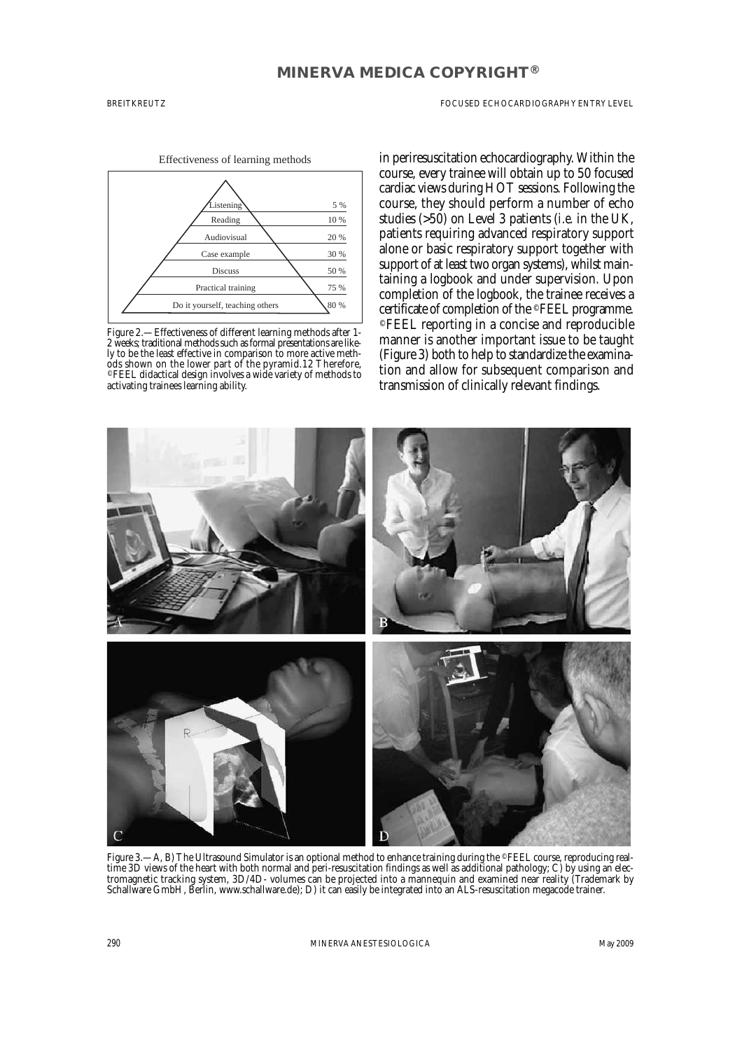### BREITKREUTZ FOR THE SERIES FOR THE SERIES OF SERIES FOCUSED ECHOCARDIOGRAPHY ENTRY LEVEL



Figure 2.—Effectiveness of different learning methods after 1- 2 weeks; traditional methods such as formal presentations are likely to be the least effective in comparison to more active methods shown on the lower part of the pyramid.12 Therefore, ©FEEL didactical design involves a wide variety of methods to activating trainees learning ability.

in periresuscitation echocardiography. Within the course, every trainee will obtain up to 50 focused cardiac views during HOT sessions. Following the course, they should perform a number of echo studies (>50) on Level 3 patients (*i.e.* in the UK, patients requiring advanced respiratory support alone or basic respiratory support together with support of at least two organ systems), whilst maintaining a logbook and under supervision. Upon completion of the logbook, the trainee receives a certificate of completion of the ©FEEL programme. ©FEEL reporting in a concise and reproducible manner is another important issue to be taught (Figure 3) both to help to standardize the examination and allow for subsequent comparison and transmission of clinically relevant findings.



Figure 3.—A, B) The Ultrasound Simulator is an optional method to enhance training during the ©FEEL course, reproducing realtime 3D views of the heart with both normal and peri-resuscitation findings as well as additional pathology; C) by using an electromagnetic tracking system, 3D/4D- volumes can be projected into a mannequin and examined near reality (Trademark by Schallware GmbH, Berlin, www.schallware.de); D) it can easily be integrated into an ALS-resuscitation megacode trainer.

290 MINERVA ANESTESIOLOGICA May 2009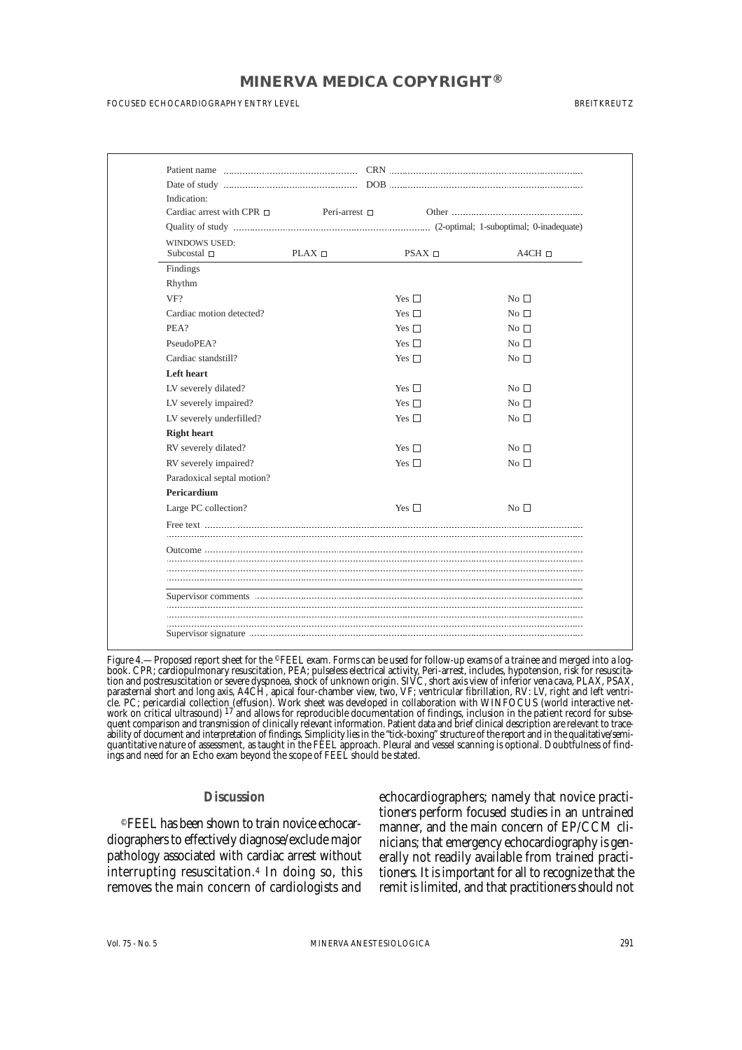### **FOCUSED ECHOCARDIOGRAPHY ENTRY LEVEL BREET ENTRY LEVEL BREET AND SERVEL BREET KREITKREUTZ**

| Indication:                       |                    |               |                 |
|-----------------------------------|--------------------|---------------|-----------------|
| Cardiac arrest with CPR $\Box$    | Peri-arrest $\Box$ |               |                 |
|                                   |                    |               |                 |
| WINDOWS USED:<br>Subcostal $\Box$ | $PLAX \sqcap$      | $PSAX \sqcap$ | $A4CH$ $\Box$   |
| Findings                          |                    |               |                 |
| Rhythm                            |                    |               |                 |
| VF?                               |                    | Yes $\Box$    | No <sub>1</sub> |
| Cardiac motion detected?          |                    | Yes $\Box$    | No <sub>1</sub> |
| PEA?                              |                    | Yes $\Box$    | No <sub>1</sub> |
| PseudoPEA?                        |                    | Yes $\Box$    | No <sub>1</sub> |
| Cardiac standstill?               |                    | Yes $\square$ | No <sub>1</sub> |
| Left heart                        |                    |               |                 |
| LV severely dilated?              |                    | Yes $\Box$    | No <sub>1</sub> |
| LV severely impaired?             |                    | Yes $\Box$    | No $\Box$       |
| LV severely underfilled?          |                    | Yes $\square$ | No <sub>1</sub> |
| <b>Right heart</b>                |                    |               |                 |
| RV severely dilated?              |                    | Yes $\Box$    | No <sub>1</sub> |
| RV severely impaired?             |                    | Yes $\square$ | No <sub>1</sub> |
| Paradoxical septal motion?        |                    |               |                 |
| Pericardium                       |                    |               |                 |
| Large PC collection?              |                    | Yes $\Box$    | No $\Box$       |
|                                   |                    |               |                 |
|                                   |                    |               |                 |
|                                   |                    |               |                 |
|                                   |                    |               |                 |
|                                   |                    |               |                 |
|                                   |                    |               |                 |
|                                   |                    |               |                 |

Figure 4.—Proposed report sheet for the ©FEEL exam. Forms can be used for follow-up exams of a trainee and merged into a logbook. CPR; cardiopulmonary resuscitation, PEA; pulseless electrical activity, Peri-arrest, includes, hypotension, risk for resuscitation and postresuscitation or severe dyspnoea, shock of unknown origin. SIVC, short axis view of inferior vena cava, PLAX, PSAX, parasternal short and long axis, A4CH, apical four-chamber view, two, VF; ventricular fibrillation, RV: LV, right and left ventricle. PC; pericardial collection (effusion). Work sheet was developed in collaboration with WINFOCUS (world interactive net-<br>work on critical ultrasound) <sup>17</sup> and allows for reproducible documentation of findings, inclusion quent comparison and transmission of clinically relevant information. Patient data and brief clinical description are relevant to traceability of document and interpretation of findings. Simplicity lies in the "tick-boxing" structure of the report and in the qualitative/semiquantitative nature of assessment, as taught in the FEEL approach. Pleural and vessel scanning is optional. Doubtfulness of findings and need for an Echo exam beyond the scope of FEEL should be stated.

### **Discussion**

©FEEL has been shown to train novice echocardiographers to effectively diagnose/exclude major pathology associated with cardiac arrest without interrupting resuscitation.4 In doing so, this removes the main concern of cardiologists and

echocardiographers; namely that novice practitioners perform focused studies in an untrained manner, and the main concern of EP/CCM clinicians; that emergency echocardiography is generally not readily available from trained practitioners. It is important for all to recognize that the remit is limited, and that practitioners should not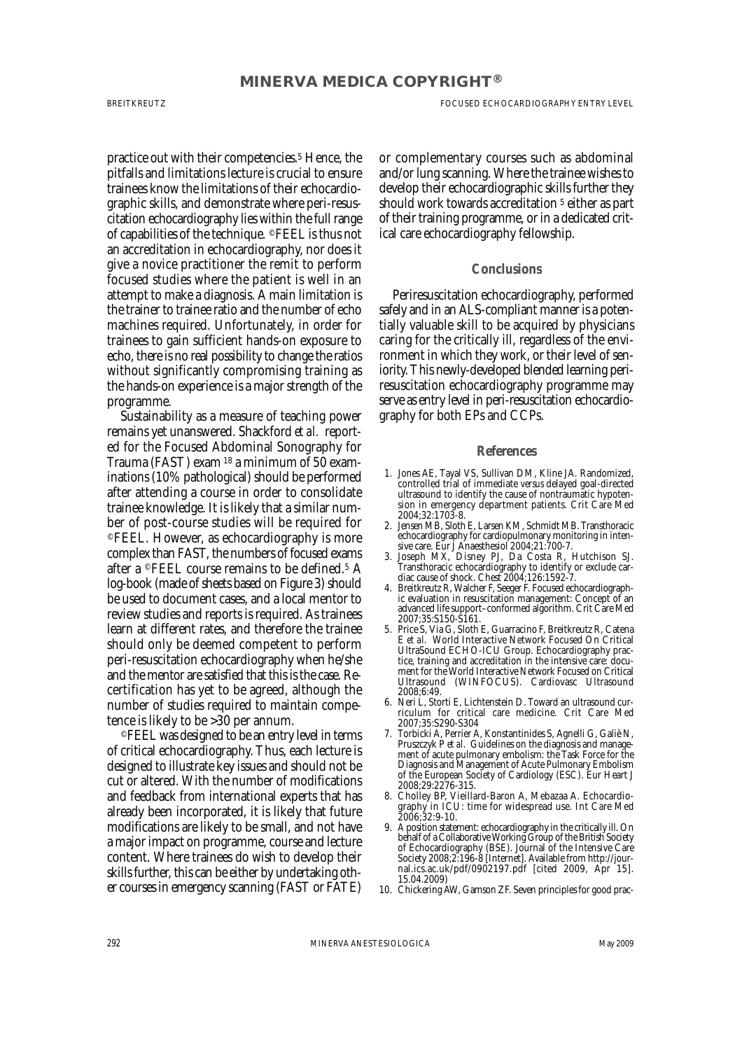practice out with their competencies.5 Hence, the pitfalls and limitations lecture is crucial to ensure trainees know the limitations of their echocardiographic skills, and demonstrate where peri-resuscitation echocardiography lies within the full range of capabilities of the technique. ©FEEL is thus not an accreditation in echocardiography, nor does it give a novice practitioner the remit to perform focused studies where the patient is well in an attempt to make a diagnosis. A main limitation is the trainer to trainee ratio and the number of echo machines required. Unfortunately, in order for trainees to gain sufficient hands-on exposure to echo, there is no real possibility to change the ratios without significantly compromising training as the hands-on experience is a major strength of the programme.

Sustainability as a measure of teaching power remains yet unanswered. Shackford *et al.* reported for the Focused Abdominal Sonography for Trauma (FAST) exam 18 a minimum of 50 examinations (10% pathological) should be performed after attending a course in order to consolidate trainee knowledge. It is likely that a similar number of post-course studies will be required for ©FEEL. However, as echocardiography is more complex than FAST, the numbers of focused exams after a ©FEEL course remains to be defined.5 A log-book (made of sheets based on Figure 3) should be used to document cases, and a local mentor to review studies and reports is required. As trainees learn at different rates, and therefore the trainee should only be deemed competent to perform peri-resuscitation echocardiography when he/she and the mentor are satisfied that this is the case. Recertification has yet to be agreed, although the number of studies required to maintain competence is likely to be >30 per annum.

©FEEL was designed to be an entry level in terms of critical echocardiography. Thus, each lecture is designed to illustrate key issues and should not be cut or altered. With the number of modifications and feedback from international experts that has already been incorporated, it is likely that future modifications are likely to be small, and not have a major impact on programme, course and lecture content. Where trainees do wish to develop their skills further, this can be either by undertaking other courses in emergency scanning (FAST or FATE)

or complementary courses such as abdominal and/or lung scanning. Where the trainee wishes to develop their echocardiographic skills further they should work towards accreditation 5 either as part of their training programme, or in a dedicated critical care echocardiography fellowship.

#### **Conclusions**

Periresuscitation echocardiography, performed safely and in an ALS-compliant manner is a potentially valuable skill to be acquired by physicians caring for the critically ill, regardless of the environment in which they work, or their level of seniority. This newly-developed blended learning periresuscitation echocardiography programme may serve as entry level in peri-resuscitation echocardiography for both EPs and CCPs.

#### **References**

- 1. Jones AE, Tayal VS, Sullivan DM, Kline JA. Randomized, controlled trial of immediate *versus* delayed goal-directed ultrasound to identify the cause of nontraumatic hypotension in emergency department patients. Crit Care Med 2004;32:1703-8.
- 2. Jensen MB, Sloth E, Larsen KM, Schmidt MB. Transthoracic echocardiography for cardiopulmonary monitoring in intensive care. Eur J Anaesthesiol 2004;21:700-7.
- 3. Joseph MX, Disney PJ, Da Costa R, Hutchison SJ. Transthoracic echocardiography to identify or exclude cardiac cause of shock. Chest 2004;126:1592-7.
- 4. Breitkreutz R, Walcher F, Seeger F. Focused echocardiographic evaluation in resuscitation management: Concept of an advanced life support–conformed algorithm. Crit Care Med 2007;35:S150-S161.
- 5. Price S, Via G, Sloth E, Guarracino F, Breitkreutz R, Catena E *et al.* World Interactive Network Focused On Critical UltraSound ECHO-ICU Group. Echocardiography practice, training and accreditation in the intensive care: document for the World Interactive Network Focused on Critical Ultrasound (WINFOCUS). Cardiovasc Ultrasound 2008;6:49.
- 6. Neri L, Storti E, Lichtenstein D. Toward an ultrasound curriculum for critical care medicine. Crit Care Med 2007;35:S290-S304
- 7. Torbicki A, Perrier A, Konstantinides S, Agnelli G, Galiè N, Pruszczyk P et al. Guidelines on the diagnosis and management of acute pulmonary embolism: the Task Force for the Diagnosis and Management of Acute Pulmonary Embolism of the European Society of Cardiology (ESC). Eur Heart J 2008;29:2276-315.
- 8. Cholley BP, Vieillard-Baron A, Mebazaa A. Echocardiography in ICU: time for widespread use. Int Care Med 2006;32:9-10.
- 9. A position statement: echocardiography in the critically ill. On behalf of a Collaborative Working Group of the British Society of Echocardiography (BSE). Journal of the Intensive Care Society 2008;2:196-8 [Internet]. Available from http://journal.ics.ac.uk/pdf/0902197.pdf [cited 2009, Apr 15]. 15.04.2009)
- 10. Chickering AW, Gamson ZF. Seven principles for good prac-